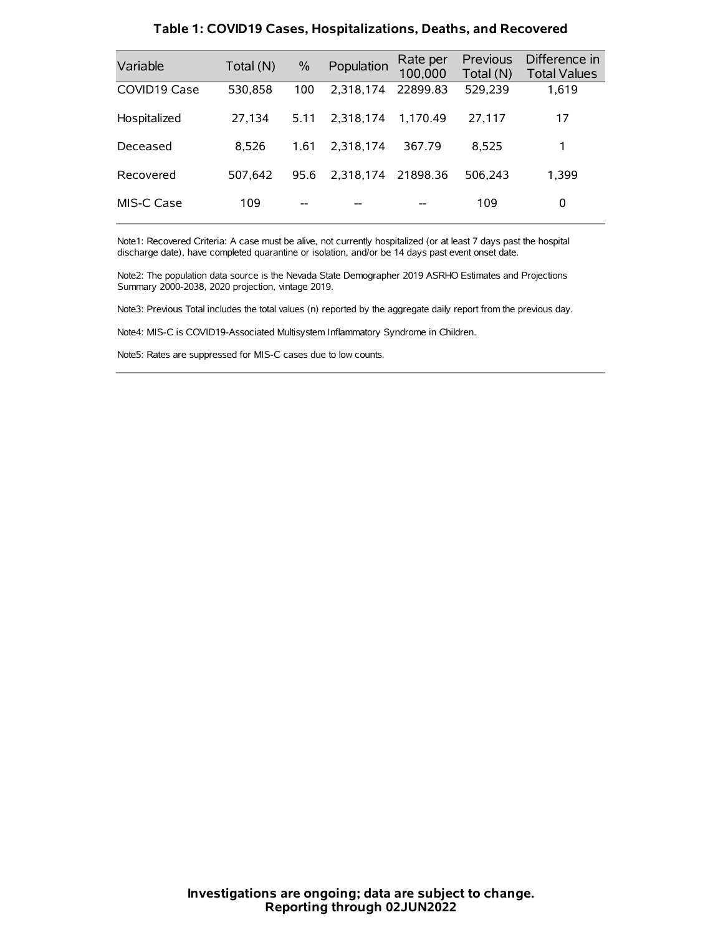| Variable     | Total (N) | $\frac{0}{0}$ | Population | Rate per<br>100,000 | <b>Previous</b><br>Total (N) | Difference in<br><b>Total Values</b> |
|--------------|-----------|---------------|------------|---------------------|------------------------------|--------------------------------------|
| COVID19 Case | 530,858   | 100           | 2,318,174  | 22899.83            | 529,239                      | 1,619                                |
| Hospitalized | 27,134    | 5.11          | 2.318.174  | 1.170.49            | 27.117                       | 17                                   |
| Deceased     | 8.526     | 1.61          | 2.318.174  | 367.79              | 8.525                        | 1                                    |
| Recovered    | 507.642   | 95.6          | 2,318,174  | 21898.36            | 506.243                      | 1,399                                |
| MIS-C Case   | 109       | --            |            |                     | 109                          | 0                                    |

#### **Table 1: COVID19 Cases, Hospitalizations, Deaths, and Recovered**

Note1: Recovered Criteria: A case must be alive, not currently hospitalized (or at least 7 days past the hospital discharge date), have completed quarantine or isolation, and/or be 14 days past event onset date.

Note2: The population data source is the Nevada State Demographer 2019 ASRHO Estimates and Projections Summary 2000-2038, 2020 projection, vintage 2019.

Note3: Previous Total includes the total values (n) reported by the aggregate daily report from the previous day.

Note4: MIS-C is COVID19-Associated Multisystem Inflammatory Syndrome in Children.

Note5: Rates are suppressed for MIS-C cases due to low counts.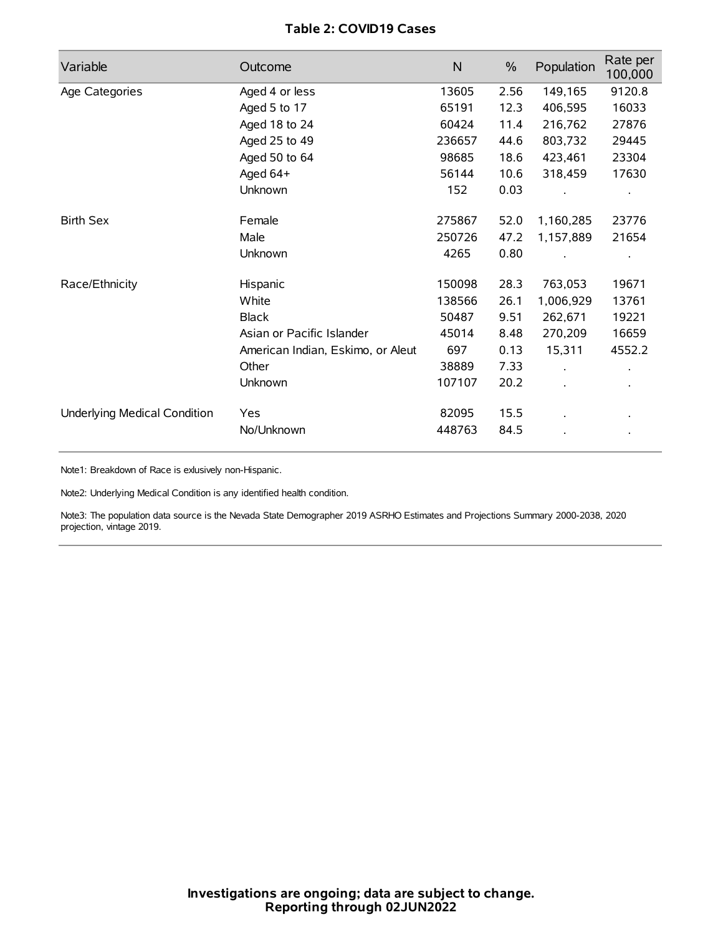# **Table 2: COVID19 Cases**

| Variable                     | Outcome                           | $\mathsf{N}$ | $\%$ | Population           | Rate per<br>100,000 |
|------------------------------|-----------------------------------|--------------|------|----------------------|---------------------|
| Age Categories               | Aged 4 or less                    | 13605        | 2.56 | 149,165              | 9120.8              |
|                              | Aged 5 to 17                      | 65191        | 12.3 | 406,595              | 16033               |
|                              | Aged 18 to 24                     | 60424        | 11.4 | 216,762              | 27876               |
|                              | Aged 25 to 49                     | 236657       | 44.6 | 803,732              | 29445               |
|                              | Aged 50 to 64                     | 98685        | 18.6 | 423,461              | 23304               |
|                              | Aged 64+                          | 56144        | 10.6 | 318,459              | 17630               |
|                              | Unknown                           | 152          | 0.03 |                      |                     |
| <b>Birth Sex</b>             | Female                            | 275867       | 52.0 | 1,160,285            | 23776               |
|                              | Male                              | 250726       | 47.2 | 1,157,889            | 21654               |
|                              | Unknown                           | 4265         | 0.80 |                      |                     |
| Race/Ethnicity               | Hispanic                          | 150098       | 28.3 | 763,053              | 19671               |
|                              | White                             | 138566       | 26.1 | 1,006,929            | 13761               |
|                              | <b>Black</b>                      | 50487        | 9.51 | 262,671              | 19221               |
|                              | Asian or Pacific Islander         | 45014        | 8.48 | 270,209              | 16659               |
|                              | American Indian, Eskimo, or Aleut | 697          | 0.13 | 15,311               | 4552.2              |
|                              | Other                             | 38889        | 7.33 | $\ddot{\phantom{0}}$ |                     |
|                              | Unknown                           | 107107       | 20.2 |                      | $\bullet$           |
| Underlying Medical Condition | Yes                               | 82095        | 15.5 |                      |                     |
|                              | No/Unknown                        | 448763       | 84.5 |                      |                     |

Note1: Breakdown of Race is exlusively non-Hispanic.

Note2: Underlying Medical Condition is any identified health condition.

Note3: The population data source is the Nevada State Demographer 2019 ASRHO Estimates and Projections Summary 2000-2038, 2020 projection, vintage 2019.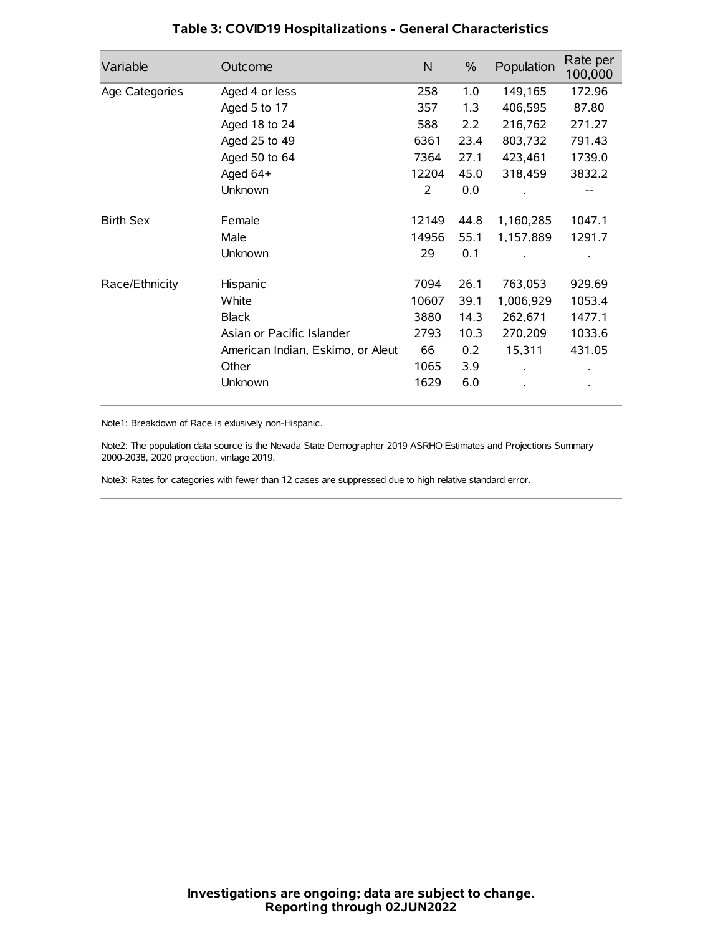| Variable         | Outcome                           | N     | $\%$ | Population | Rate per<br>100,000 |
|------------------|-----------------------------------|-------|------|------------|---------------------|
| Age Categories   | Aged 4 or less                    | 258   | 1.0  | 149,165    | 172.96              |
|                  | Aged 5 to 17                      | 357   | 1.3  | 406,595    | 87.80               |
|                  | Aged 18 to 24                     | 588   | 2.2  | 216,762    | 271.27              |
|                  | Aged 25 to 49                     | 6361  | 23.4 | 803,732    | 791.43              |
|                  | Aged 50 to 64                     | 7364  | 27.1 | 423,461    | 1739.0              |
|                  | Aged 64+                          | 12204 | 45.0 | 318,459    | 3832.2              |
|                  | Unknown                           | 2     | 0.0  |            |                     |
| <b>Birth Sex</b> | Female                            | 12149 | 44.8 | 1,160,285  | 1047.1              |
|                  | Male                              | 14956 | 55.1 | 1,157,889  | 1291.7              |
|                  | Unknown                           | 29    | 0.1  |            |                     |
| Race/Ethnicity   | Hispanic                          | 7094  | 26.1 | 763,053    | 929.69              |
|                  | White                             | 10607 | 39.1 | 1,006,929  | 1053.4              |
|                  | <b>Black</b>                      | 3880  | 14.3 | 262,671    | 1477.1              |
|                  | Asian or Pacific Islander         | 2793  | 10.3 | 270,209    | 1033.6              |
|                  | American Indian, Eskimo, or Aleut | 66    | 0.2  | 15,311     | 431.05              |
|                  | Other                             | 1065  | 3.9  |            |                     |
|                  | Unknown                           | 1629  | 6.0  |            |                     |

# **Table 3: COVID19 Hospitalizations - General Characteristics**

Note1: Breakdown of Race is exlusively non-Hispanic.

Note2: The population data source is the Nevada State Demographer 2019 ASRHO Estimates and Projections Summary 2000-2038, 2020 projection, vintage 2019.

Note3: Rates for categories with fewer than 12 cases are suppressed due to high relative standard error.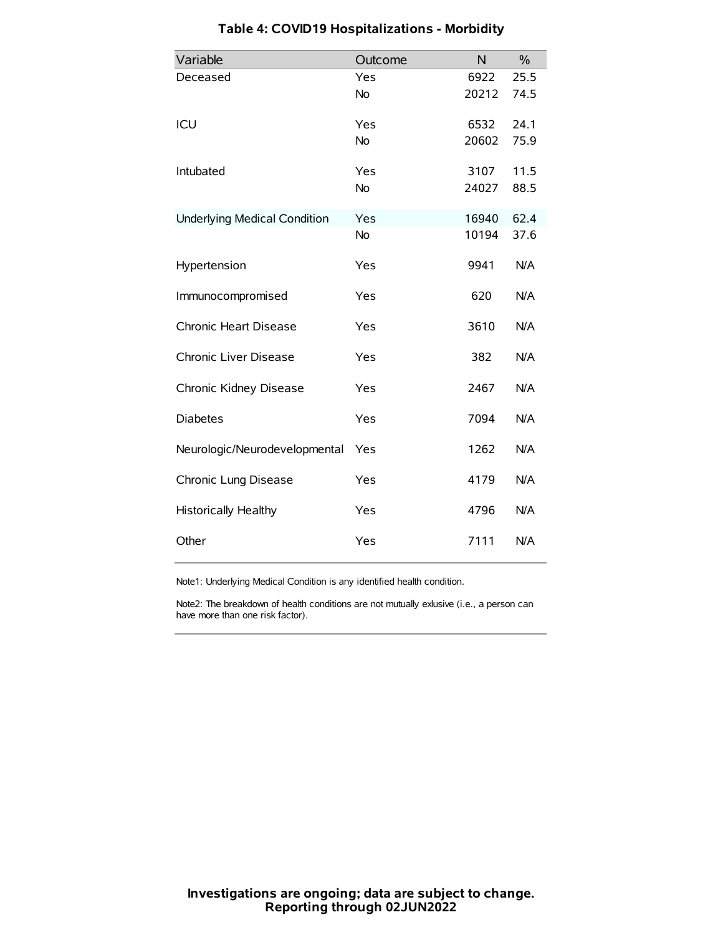| Variable                            | Outcome   | N     | $\%$ |
|-------------------------------------|-----------|-------|------|
| Deceased                            | Yes       | 6922  | 25.5 |
|                                     | <b>No</b> | 20212 | 74.5 |
| ICU                                 | Yes       | 6532  | 24.1 |
|                                     | <b>No</b> | 20602 | 75.9 |
| Intubated                           | Yes       | 3107  | 11.5 |
|                                     | <b>No</b> | 24027 | 88.5 |
| <b>Underlying Medical Condition</b> | Yes       | 16940 | 62.4 |
|                                     | No        | 10194 | 37.6 |
| Hypertension                        | Yes       | 9941  | N/A  |
| Immunocompromised                   | Yes       | 620   | N/A  |
| Chronic Heart Disease               | Yes       | 3610  | N/A  |
| Chronic Liver Disease               | Yes       | 382   | N/A  |
| Chronic Kidney Disease              | Yes       | 2467  | N/A  |
| <b>Diabetes</b>                     | Yes       | 7094  | N/A  |
| Neurologic/Neurodevelopmental       | Yes       | 1262  | N/A  |
| Chronic Lung Disease                | Yes       | 4179  | N/A  |
| Historically Healthy                | Yes       | 4796  | N/A  |
| Other                               | Yes       | 7111  | N/A  |

# **Table 4: COVID19 Hospitalizations - Morbidity**

Note1: Underlying Medical Condition is any identified health condition.

Note2: The breakdown of health conditions are not mutually exlusive (i.e., a person can have more than one risk factor).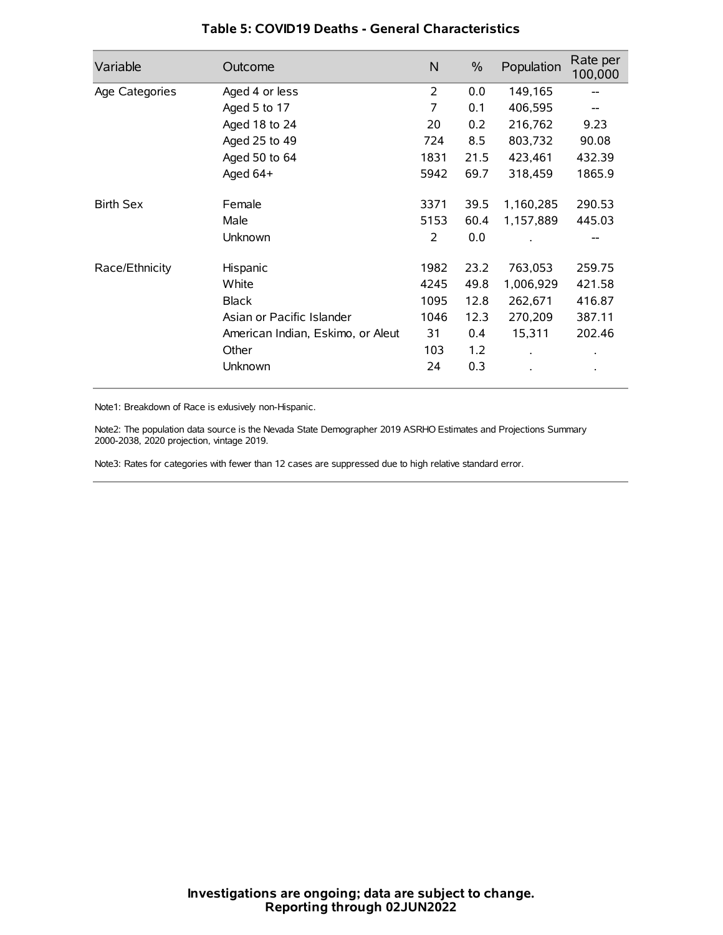| Variable         | Outcome                           | N    | $\%$ | Population           | Rate per<br>100,000 |
|------------------|-----------------------------------|------|------|----------------------|---------------------|
| Age Categories   | Aged 4 or less                    | 2    | 0.0  | 149,165              |                     |
|                  | Aged 5 to 17                      | 7    | 0.1  | 406,595              |                     |
|                  | Aged 18 to 24                     | 20   | 0.2  | 216,762              | 9.23                |
|                  | Aged 25 to 49                     | 724  | 8.5  | 803,732              | 90.08               |
|                  | Aged 50 to 64                     | 1831 | 21.5 | 423,461              | 432.39              |
|                  | Aged 64+                          | 5942 | 69.7 | 318,459              | 1865.9              |
| <b>Birth Sex</b> | Female                            | 3371 | 39.5 | 1,160,285            | 290.53              |
|                  | Male                              | 5153 | 60.4 | 1,157,889            | 445.03              |
|                  | Unknown                           | 2    | 0.0  |                      | --                  |
| Race/Ethnicity   | Hispanic                          | 1982 | 23.2 | 763,053              | 259.75              |
|                  | White                             | 4245 | 49.8 | 1,006,929            | 421.58              |
|                  | <b>Black</b>                      | 1095 | 12.8 | 262,671              | 416.87              |
|                  | Asian or Pacific Islander         | 1046 | 12.3 | 270,209              | 387.11              |
|                  | American Indian, Eskimo, or Aleut | 31   | 0.4  | 15,311               | 202.46              |
|                  | Other                             | 103  | 1.2  | $\ddot{\phantom{0}}$ | $\bullet$           |
|                  | Unknown                           | 24   | 0.3  |                      | $\bullet$           |

### **Table 5: COVID19 Deaths - General Characteristics**

Note1: Breakdown of Race is exlusively non-Hispanic.

Note2: The population data source is the Nevada State Demographer 2019 ASRHO Estimates and Projections Summary 2000-2038, 2020 projection, vintage 2019.

Note3: Rates for categories with fewer than 12 cases are suppressed due to high relative standard error.